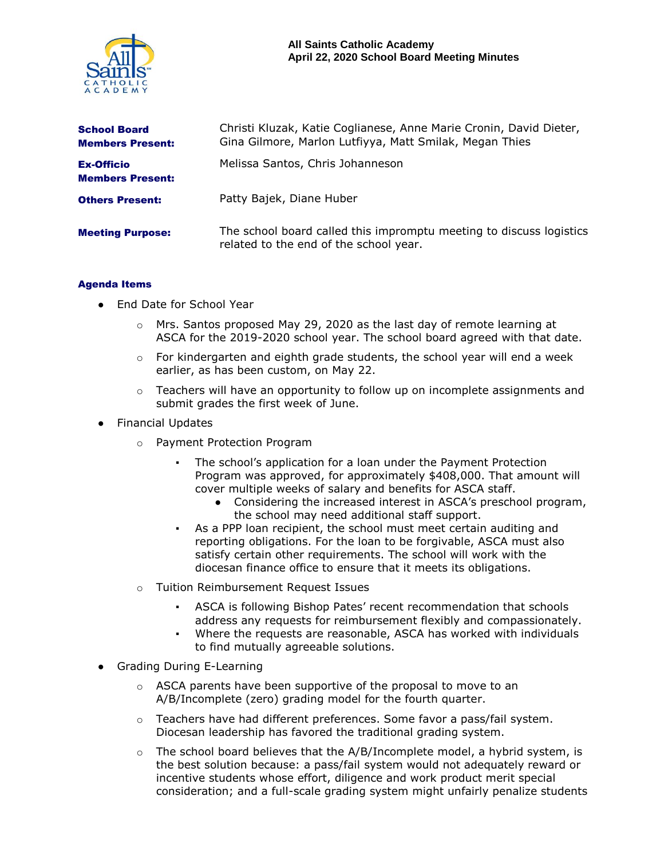

| <b>School Board</b><br><b>Members Present:</b> | Christi Kluzak, Katie Coglianese, Anne Marie Cronin, David Dieter,<br>Gina Gilmore, Marlon Lutfiyya, Matt Smilak, Megan Thies |
|------------------------------------------------|-------------------------------------------------------------------------------------------------------------------------------|
| <b>Ex-Officio</b><br><b>Members Present:</b>   | Melissa Santos, Chris Johanneson                                                                                              |
| <b>Others Present:</b>                         | Patty Bajek, Diane Huber                                                                                                      |
| <b>Meeting Purpose:</b>                        | The school board called this impromptu meeting to discuss logistics<br>related to the end of the school year.                 |

## Agenda Items

- End Date for School Year
	- $\circ$  Mrs. Santos proposed May 29, 2020 as the last day of remote learning at ASCA for the 2019-2020 school year. The school board agreed with that date.
	- $\circ$  For kindergarten and eighth grade students, the school year will end a week earlier, as has been custom, on May 22.
	- $\circ$  Teachers will have an opportunity to follow up on incomplete assignments and submit grades the first week of June.
- Financial Updates
	- o Payment Protection Program
		- The school's application for a loan under the Payment Protection Program was approved, for approximately \$408,000. That amount will cover multiple weeks of salary and benefits for ASCA staff.
			- Considering the increased interest in ASCA's preschool program, the school may need additional staff support.
		- As a PPP loan recipient, the school must meet certain auditing and reporting obligations. For the loan to be forgivable, ASCA must also satisfy certain other requirements. The school will work with the diocesan finance office to ensure that it meets its obligations.
	- o Tuition Reimbursement Request Issues
		- ASCA is following Bishop Pates' recent recommendation that schools address any requests for reimbursement flexibly and compassionately.
		- Where the requests are reasonable, ASCA has worked with individuals to find mutually agreeable solutions.
- Grading During E-Learning
	- o ASCA parents have been supportive of the proposal to move to an A/B/Incomplete (zero) grading model for the fourth quarter.
	- $\circ$  Teachers have had different preferences. Some favor a pass/fail system. Diocesan leadership has favored the traditional grading system.
	- $\circ$  The school board believes that the A/B/Incomplete model, a hybrid system, is the best solution because: a pass/fail system would not adequately reward or incentive students whose effort, diligence and work product merit special consideration; and a full-scale grading system might unfairly penalize students